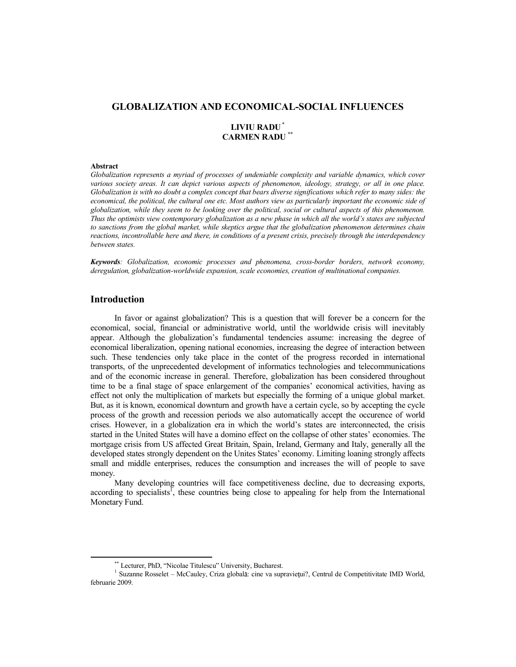# **GLOBALIZATION AND ECONOMICAL-SOCIAL INFLUENCES**

# **LIVIU RADU \* CARMEN RADU \*\***

#### **Abstract**

*Globalization represents a myriad of processes of undeniable complexity and variable dynamics, which cover*  various society areas. It can depict various aspects of phenomenon, ideology, strategy, or all in one place. *Globalization is with no doubt a complex concept that bears diverse significations which refer to many sides: the economical, the political, the cultural one etc. Most authors view as particularly important the economic side of globalization, while they seem to be looking over the political, social or cultural aspects of this phenomenon. Thus the optimists view contemporary globalization as a new phase in which all the world's states are subjected to sanctions from the global market, while skeptics argue that the globalization phenomenon determines chain reactions, incontrollable here and there, in conditions of a present crisis, precisely through the interdependency between states.* 

*Keywords: Globalization, economic processes and phenomena, cross-border borders, network economy, deregulation, globalization-worldwide expansion, scale economies, creation of multinational companies.* 

# **Introduction**

In favor or against globalization? This is a question that will forever be a concern for the economical, social, financial or administrative world, until the worldwide crisis will inevitably appear. Although the globalization's fundamental tendencies assume: increasing the degree of economical liberalization, opening national economies, increasing the degree of interaction between such. These tendencies only take place in the contet of the progress recorded in international transports, of the unprecedented development of informatics technologies and telecommunications and of the economic increase in general. Therefore, globalization has been considered throughout time to be a final stage of space enlargement of the companies' economical activities, having as effect not only the multiplication of markets but especially the forming of a unique global market. But, as it is known, economical downturn and growth have a certain cycle, so by accepting the cycle process of the growth and recession periods we also automatically accept the occurence of world crises. However, in a globalization era in which the world's states are interconnected, the crisis started in the United States will have a domino effect on the collapse of other states' economies. The mortgage crisis from US affected Great Britain, Spain, Ireland, Germany and Italy, generally all the developed states strongly dependent on the Unites States' economy. Limiting loaning strongly affects small and middle enterprises, reduces the consumption and increases the will of people to save money.

Many developing countries will face competitiveness decline, due to decreasing exports, according to specialists<sup>1</sup>, these countries being close to appealing for help from the International Monetary Fund.

<sup>\*\*</sup> Lecturer, PhD, "Nicolae Titulescu" University, Bucharest.

<sup>&</sup>lt;sup>1</sup> Suzanne Rosselet – McCauley, Criza globală: cine va supraviețui?, Centrul de Competitivitate IMD World, februarie 2009.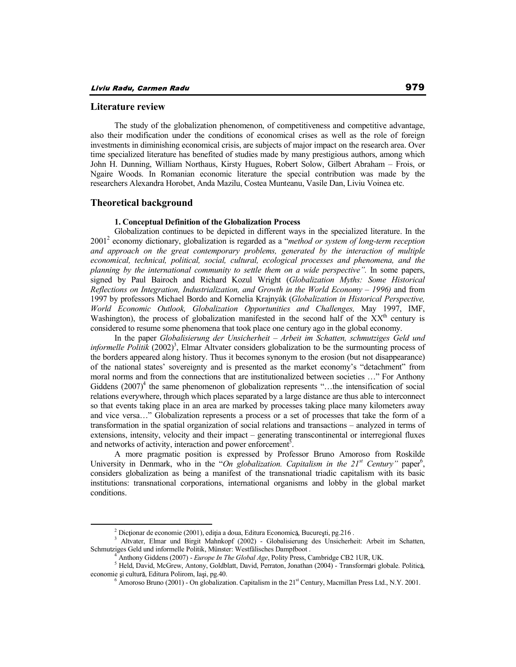## **Literature review**

The study of the globalization phenomenon, of competitiveness and competitive advantage, also their modification under the conditions of economical crises as well as the role of foreign investments in diminishing economical crisis, are subjects of major impact on the research area. Over time specialized literature has benefited of studies made by many prestigious authors, among which John H. Dunning, William Northaus, Kirsty Hugues, Robert Solow, Gilbert Abraham – Frois, or Ngaire Woods. In Romanian economic literature the special contribution was made by the researchers Alexandra Horobet, Anda Mazilu, Costea Munteanu, Vasile Dan, Liviu Voinea etc.

## **Theoretical background**

#### **1. Conceptual Definition of the Globalization Process**

Globalization continues to be depicted in different ways in the specialized literature. In the 2001<sup>2</sup> economy dictionary, globalization is regarded as a "*method or system of long-term reception and approach on the great contemporary problems, generated by the interaction of multiple economical, technical, political, social, cultural, ecological processes and phenomena, and the planning by the international community to settle them on a wide perspective".* In some papers, signed by Paul Bairoch and Richard Kozul Wright (*Globalization Myths: Some Historical Reflections on Integration, Industrialization, and Growth in the World Economy – 1996)* and from 1997 by professors Michael Bordo and Kornelia Krajnyák (*Globalization in Historical Perspective, World Economic Outlook, Globalization Opportunities and Challenges,* May 1997, IMF, Washington), the process of globalization manifested in the second half of the  $XX<sup>th</sup>$  century is considered to resume some phenomena that took place one century ago in the global economy.

In the paper *Globalisierung der Unsicherheit – Arbeit im Schatten, schmutziges Geld und*  informelle Politik (2002)<sup>3</sup>, Elmar Altvater considers globalization to be the surmounting process of the borders appeared along history. Thus it becomes synonym to the erosion (but not disappearance) of the national states' sovereignty and is presented as the market economy's "detachment" from moral norms and from the connections that are institutionalized between societies …" For Anthony Giddens  $(2007)^4$  the same phenomenon of globalization represents "...the intensification of social relations everywhere, through which places separated by a large distance are thus able to interconnect so that events taking place in an area are marked by processes taking place many kilometers away and vice versa…" Globalization represents a process or a set of processes that take the form of a transformation in the spatial organization of social relations and transactions – analyzed in terms of extensions, intensity, velocity and their impact – generating transcontinental or interregional fluxes and networks of activity, interaction and power enforcement<sup>5</sup>.

A more pragmatic position is expressed by Professor Bruno Amoroso from Roskilde University in Denmark, who in the "On globalization. Capitalism in the 21<sup>st</sup> Century" paper<sup>6</sup>, considers globalization as being a manifest of the transnational triadic capitalism with its basic institutions: transnational corporations, international organisms and lobby in the global market conditions.

 $2$  Dicționar de economie (2001), ediția a doua, Editura Economică, București, pg. 216.

<sup>&</sup>lt;sup>3</sup> Altvater, Elmar und Birgit Mahnkopf (2002) - Globalisierung des Unsicherheit: Arbeit im Schatten, Schmutziges Geld und informelle Politik, Münster: Westfälisches Dampfboot .

<sup>4</sup> Anthony Giddens (2007) - *Europe In The Global Age*, Polity Press, Cambridge CB2 1UR, UK.

<sup>&</sup>lt;sup>5</sup> Held, David, McGrew, Antony, Goldblatt, David, Perraton, Jonathan (2004) - Transformări globale. Politică, economie și cultură, Editura Polirom, Iași, pg.40.<br>
<sup>6</sup> Amoroso Bruno (2001) - On globalization. Capitalism in the 21<sup>st</sup> Century, Macmillan Press Ltd., N.Y. 2001.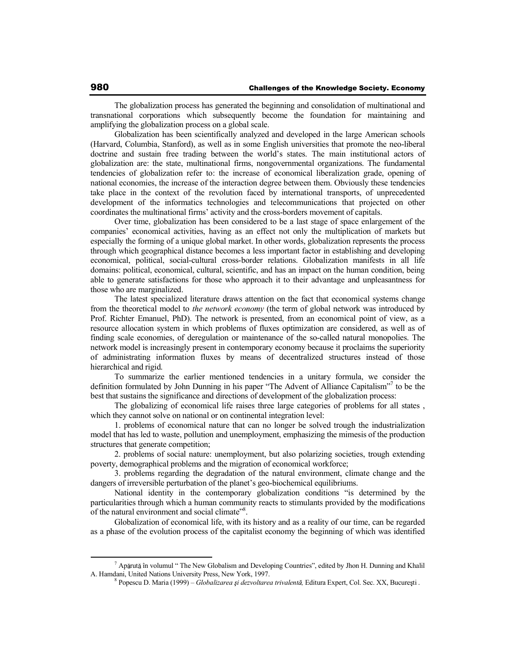The globalization process has generated the beginning and consolidation of multinational and transnational corporations which subsequently become the foundation for maintaining and amplifying the globalization process on a global scale.

Globalization has been scientifically analyzed and developed in the large American schools (Harvard, Columbia, Stanford), as well as in some English universities that promote the neo-liberal doctrine and sustain free trading between the world's states. The main institutional actors of globalization are: the state, multinational firms, nongovernmental organizations. The fundamental tendencies of globalization refer to: the increase of economical liberalization grade, opening of national economies, the increase of the interaction degree between them. Obviously these tendencies take place in the context of the revolution faced by international transports, of unprecedented development of the informatics technologies and telecommunications that projected on other coordinates the multinational firms' activity and the cross-borders movement of capitals.

Over time, globalization has been considered to be a last stage of space enlargement of the companies' economical activities, having as an effect not only the multiplication of markets but especially the forming of a unique global market. In other words, globalization represents the process through which geographical distance becomes a less important factor in establishing and developing economical, political, social-cultural cross-border relations. Globalization manifests in all life domains: political, economical, cultural, scientific, and has an impact on the human condition, being able to generate satisfactions for those who approach it to their advantage and unpleasantness for those who are marginalized.

The latest specialized literature draws attention on the fact that economical systems change from the theoretical model to *the network economy* (the term of global network was introduced by Prof. Richter Emanuel, PhD). The network is presented, from an economical point of view, as a resource allocation system in which problems of fluxes optimization are considered, as well as of finding scale economies, of deregulation or maintenance of the so-called natural monopolies. The network model is increasingly present in contemporary economy because it proclaims the superiority of administrating information fluxes by means of decentralized structures instead of those hierarchical and rigid.

To summarize the earlier mentioned tendencies in a unitary formula, we consider the definition formulated by John Dunning in his paper "The Advent of Alliance Capitalism"<sup>7</sup> to be the best that sustains the significance and directions of development of the globalization process:

The globalizing of economical life raises three large categories of problems for all states , which they cannot solve on national or on continental integration level:

1. problems of economical nature that can no longer be solved trough the industrialization model that has led to waste, pollution and unemployment, emphasizing the mimesis of the production structures that generate competition;

2. problems of social nature: unemployment, but also polarizing societies, trough extending poverty, demographical problems and the migration of economical workforce;

3. problems regarding the degradation of the natural environment, climate change and the dangers of irreversible perturbation of the planet's geo-biochemical equilibriums.

National identity in the contemporary globalization conditions "is determined by the particularities through which a human community reacts to stimulants provided by the modifications of the natural environment and social climate"<sup>8</sup>.

Globalization of economical life, with its history and as a reality of our time, can be regarded as a phase of the evolution process of the capitalist economy the beginning of which was identified

 $^7$  Apărută în volumul " The New Globalism and Developing Countries", edited by Jhon H. Dunning and Khalil A. Hamdani, United Nations University Press, New York, 1997.

<sup>&</sup>lt;sup>8</sup> Popescu D. Maria (1999) – *Globalizarea și dezvoltarea trivalentă*, Editura Expert, Col. Sec. XX, București .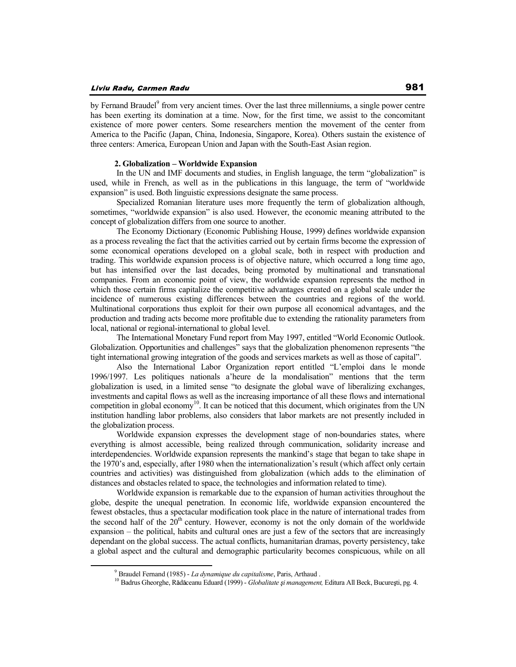### Liviu Radu, Carmen Radu

by Fernand Braudel<sup>9</sup> from very ancient times. Over the last three millenniums, a single power centre has been exerting its domination at a time. Now, for the first time, we assist to the concomitant existence of more power centers. Some researchers mention the movement of the center from America to the Pacific (Japan, China, Indonesia, Singapore, Korea). Others sustain the existence of three centers: America, European Union and Japan with the South-East Asian region.

#### **2. Globalization – Worldwide Expansion**

 In the UN and IMF documents and studies, in English language, the term "globalization" is used, while in French, as well as in the publications in this language, the term of "worldwide expansion" is used. Both linguistic expressions designate the same process.

 Specialized Romanian literature uses more frequently the term of globalization although, sometimes, "worldwide expansion" is also used. However, the economic meaning attributed to the concept of globalization differs from one source to another.

 The Economy Dictionary (Economic Publishing House, 1999) defines worldwide expansion as a process revealing the fact that the activities carried out by certain firms become the expression of some economical operations developed on a global scale, both in respect with production and trading. This worldwide expansion process is of objective nature, which occurred a long time ago, but has intensified over the last decades, being promoted by multinational and transnational companies. From an economic point of view, the worldwide expansion represents the method in which those certain firms capitalize the competitive advantages created on a global scale under the incidence of numerous existing differences between the countries and regions of the world. Multinational corporations thus exploit for their own purpose all economical advantages, and the production and trading acts become more profitable due to extending the rationality parameters from local, national or regional-international to global level.

 The International Monetary Fund report from May 1997, entitled "World Economic Outlook. Globalization. Opportunities and challenges" says that the globalization phenomenon represents "the tight international growing integration of the goods and services markets as well as those of capital".

 Also the International Labor Organization report entitled "L'emploi dans le monde 1996/1997. Les politiques nationals a'heure de la mondalisation" mentions that the term globalization is used, in a limited sense "to designate the global wave of liberalizing exchanges, investments and capital flows as well as the increasing importance of all these flows and international competition in global economy<sup>10</sup>. It can be noticed that this document, which originates from the UN institution handling labor problems, also considers that labor markets are not presently included in the globalization process.

 Worldwide expansion expresses the development stage of non-boundaries states, where everything is almost accessible, being realized through communication, solidarity increase and interdependencies. Worldwide expansion represents the mankind's stage that began to take shape in the 1970's and, especially, after 1980 when the internationalization's result (which affect only certain countries and activities) was distinguished from globalization (which adds to the elimination of distances and obstacles related to space, the technologies and information related to time).

 Worldwide expansion is remarkable due to the expansion of human activities throughout the globe, despite the unequal penetration. In economic life, worldwide expansion encountered the fewest obstacles, thus a spectacular modification took place in the nature of international trades from the second half of the  $20<sup>th</sup>$  century. However, economy is not the only domain of the worldwide expansion – the political, habits and cultural ones are just a few of the sectors that are increasingly dependant on the global success. The actual conflicts, humanitarian dramas, poverty persistency, take a global aspect and the cultural and demographic particularity becomes conspicuous, while on all

<sup>9</sup> Braudel Fernand (1985) - *La dynamique du capitalisme*, Paris, Arthaud .

<sup>&</sup>lt;sup>10</sup> Badrus Gheorghe, Rădăceanu Eduard (1999) - *Globalitate și management*, Editura All Beck, București, pg. 4.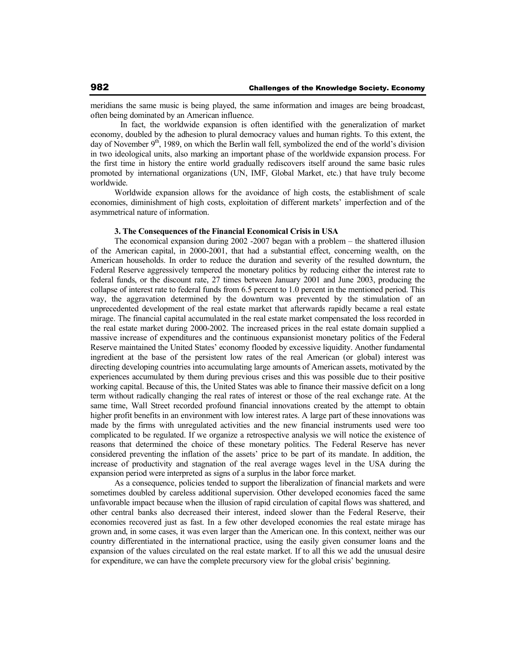meridians the same music is being played, the same information and images are being broadcast, often being dominated by an American influence.

 In fact, the worldwide expansion is often identified with the generalization of market economy, doubled by the adhesion to plural democracy values and human rights. To this extent, the day of November  $9<sup>th</sup>$ , 1989, on which the Berlin wall fell, symbolized the end of the world's division in two ideological units, also marking an important phase of the worldwide expansion process. For the first time in history the entire world gradually rediscovers itself around the same basic rules promoted by international organizations (UN, IMF, Global Market, etc.) that have truly become worldwide.

Worldwide expansion allows for the avoidance of high costs, the establishment of scale economies, diminishment of high costs, exploitation of different markets' imperfection and of the asymmetrical nature of information.

## **3. The Consequences of the Financial Economical Crisis in USA**

The economical expansion during 2002 -2007 began with a problem – the shattered illusion of the American capital, in 2000-2001, that had a substantial effect, concerning wealth, on the American households. In order to reduce the duration and severity of the resulted downturn, the Federal Reserve aggressively tempered the monetary politics by reducing either the interest rate to federal funds, or the discount rate, 27 times between January 2001 and June 2003, producing the collapse of interest rate to federal funds from 6.5 percent to 1.0 percent in the mentioned period. This way, the aggravation determined by the downturn was prevented by the stimulation of an unprecedented development of the real estate market that afterwards rapidly became a real estate mirage. The financial capital accumulated in the real estate market compensated the loss recorded in the real estate market during 2000-2002. The increased prices in the real estate domain supplied a massive increase of expenditures and the continuous expansionist monetary politics of the Federal Reserve maintained the United States' economy flooded by excessive liquidity. Another fundamental ingredient at the base of the persistent low rates of the real American (or global) interest was directing developing countries into accumulating large amounts of American assets, motivated by the experiences accumulated by them during previous crises and this was possible due to their positive working capital. Because of this, the United States was able to finance their massive deficit on a long term without radically changing the real rates of interest or those of the real exchange rate. At the same time, Wall Street recorded profound financial innovations created by the attempt to obtain higher profit benefits in an environment with low interest rates. A large part of these innovations was made by the firms with unregulated activities and the new financial instruments used were too complicated to be regulated. If we organize a retrospective analysis we will notice the existence of reasons that determined the choice of these monetary politics. The Federal Reserve has never considered preventing the inflation of the assets' price to be part of its mandate. In addition, the increase of productivity and stagnation of the real average wages level in the USA during the expansion period were interpreted as signs of a surplus in the labor force market.

As a consequence, policies tended to support the liberalization of financial markets and were sometimes doubled by careless additional supervision. Other developed economies faced the same unfavorable impact because when the illusion of rapid circulation of capital flows was shattered, and other central banks also decreased their interest, indeed slower than the Federal Reserve, their economies recovered just as fast. In a few other developed economies the real estate mirage has grown and, in some cases, it was even larger than the American one. In this context, neither was our country differentiated in the international practice, using the easily given consumer loans and the expansion of the values circulated on the real estate market. If to all this we add the unusual desire for expenditure, we can have the complete precursory view for the global crisis' beginning.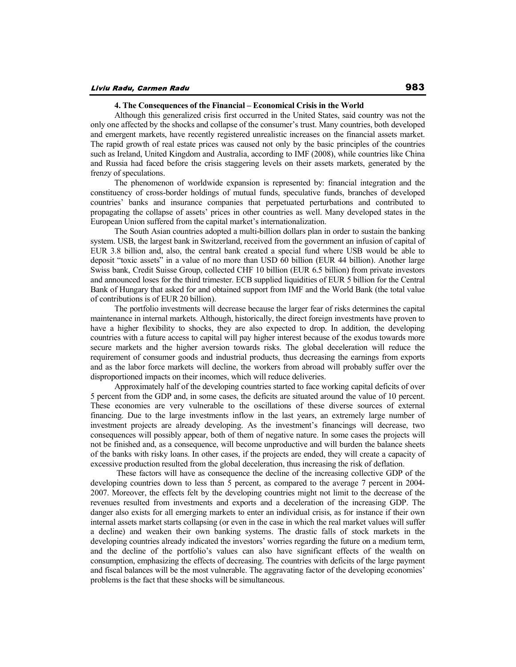## **4. The Consequences of the Financial – Economical Crisis in the World**

Although this generalized crisis first occurred in the United States, said country was not the only one affected by the shocks and collapse of the consumer's trust. Many countries, both developed and emergent markets, have recently registered unrealistic increases on the financial assets market. The rapid growth of real estate prices was caused not only by the basic principles of the countries such as Ireland, United Kingdom and Australia, according to IMF (2008), while countries like China and Russia had faced before the crisis staggering levels on their assets markets, generated by the frenzy of speculations.

The phenomenon of worldwide expansion is represented by: financial integration and the constituency of cross-border holdings of mutual funds, speculative funds, branches of developed countries' banks and insurance companies that perpetuated perturbations and contributed to propagating the collapse of assets' prices in other countries as well. Many developed states in the European Union suffered from the capital market's internationalization.

The South Asian countries adopted a multi-billion dollars plan in order to sustain the banking system. USB, the largest bank in Switzerland, received from the government an infusion of capital of EUR 3.8 billion and, also, the central bank created a special fund where USB would be able to deposit "toxic assets" in a value of no more than USD 60 billion (EUR 44 billion). Another large Swiss bank, Credit Suisse Group, collected CHF 10 billion (EUR 6.5 billion) from private investors and announced loses for the third trimester. ECB supplied liquidities of EUR 5 billion for the Central Bank of Hungary that asked for and obtained support from IMF and the World Bank (the total value of contributions is of EUR 20 billion).

The portfolio investments will decrease because the larger fear of risks determines the capital maintenance in internal markets. Although, historically, the direct foreign investments have proven to have a higher flexibility to shocks, they are also expected to drop. In addition, the developing countries with a future access to capital will pay higher interest because of the exodus towards more secure markets and the higher aversion towards risks. The global deceleration will reduce the requirement of consumer goods and industrial products, thus decreasing the earnings from exports and as the labor force markets will decline, the workers from abroad will probably suffer over the disproportioned impacts on their incomes, which will reduce deliveries.

Approximately half of the developing countries started to face working capital deficits of over 5 percent from the GDP and, in some cases, the deficits are situated around the value of 10 percent. These economies are very vulnerable to the oscillations of these diverse sources of external financing. Due to the large investments inflow in the last years, an extremely large number of investment projects are already developing. As the investment's financings will decrease, two consequences will possibly appear, both of them of negative nature. In some cases the projects will not be finished and, as a consequence, will become unproductive and will burden the balance sheets of the banks with risky loans. In other cases, if the projects are ended, they will create a capacity of excessive production resulted from the global deceleration, thus increasing the risk of deflation.

 These factors will have as consequence the decline of the increasing collective GDP of the developing countries down to less than 5 percent, as compared to the average 7 percent in 2004- 2007. Moreover, the effects felt by the developing countries might not limit to the decrease of the revenues resulted from investments and exports and a deceleration of the increasing GDP. The danger also exists for all emerging markets to enter an individual crisis, as for instance if their own internal assets market starts collapsing (or even in the case in which the real market values will suffer a decline) and weaken their own banking systems. The drastic falls of stock markets in the developing countries already indicated the investors' worries regarding the future on a medium term, and the decline of the portfolio's values can also have significant effects of the wealth on consumption, emphasizing the effects of decreasing. The countries with deficits of the large payment and fiscal balances will be the most vulnerable. The aggravating factor of the developing economies' problems is the fact that these shocks will be simultaneous.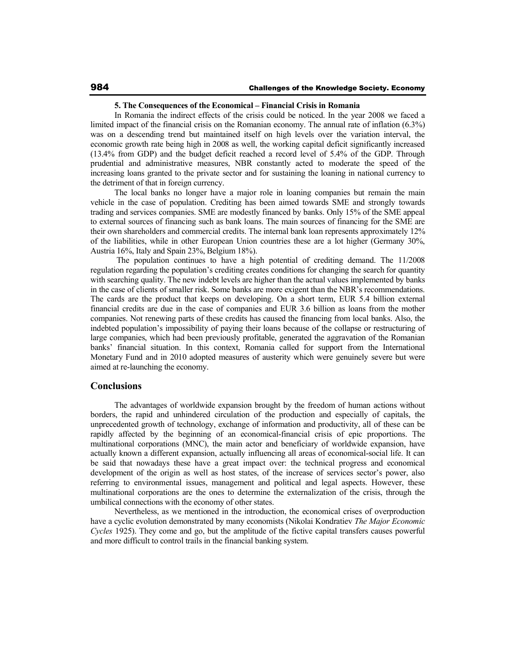#### **5. The Consequences of the Economical – Financial Crisis in Romania**

In Romania the indirect effects of the crisis could be noticed. In the year 2008 we faced a limited impact of the financial crisis on the Romanian economy. The annual rate of inflation (6.3%) was on a descending trend but maintained itself on high levels over the variation interval, the economic growth rate being high in 2008 as well, the working capital deficit significantly increased (13.4% from GDP) and the budget deficit reached a record level of 5.4% of the GDP. Through prudential and administrative measures, NBR constantly acted to moderate the speed of the increasing loans granted to the private sector and for sustaining the loaning in national currency to the detriment of that in foreign currency.

The local banks no longer have a major role in loaning companies but remain the main vehicle in the case of population. Crediting has been aimed towards SME and strongly towards trading and services companies. SME are modestly financed by banks. Only 15% of the SME appeal to external sources of financing such as bank loans. The main sources of financing for the SME are their own shareholders and commercial credits. The internal bank loan represents approximately 12% of the liabilities, while in other European Union countries these are a lot higher (Germany 30%, Austria 16%, Italy and Spain 23%, Belgium 18%).

 The population continues to have a high potential of crediting demand. The 11/2008 regulation regarding the population's crediting creates conditions for changing the search for quantity with searching quality. The new indebt levels are higher than the actual values implemented by banks in the case of clients of smaller risk. Some banks are more exigent than the NBR's recommendations. The cards are the product that keeps on developing. On a short term, EUR 5.4 billion external financial credits are due in the case of companies and EUR 3.6 billion as loans from the mother companies. Not renewing parts of these credits has caused the financing from local banks. Also, the indebted population's impossibility of paying their loans because of the collapse or restructuring of large companies, which had been previously profitable, generated the aggravation of the Romanian banks' financial situation. In this context, Romania called for support from the International Monetary Fund and in 2010 adopted measures of austerity which were genuinely severe but were aimed at re-launching the economy.

# **Conclusions**

The advantages of worldwide expansion brought by the freedom of human actions without borders, the rapid and unhindered circulation of the production and especially of capitals, the unprecedented growth of technology, exchange of information and productivity, all of these can be rapidly affected by the beginning of an economical-financial crisis of epic proportions. The multinational corporations (MNC), the main actor and beneficiary of worldwide expansion, have actually known a different expansion, actually influencing all areas of economical-social life. It can be said that nowadays these have a great impact over: the technical progress and economical development of the origin as well as host states, of the increase of services sector's power, also referring to environmental issues, management and political and legal aspects. However, these multinational corporations are the ones to determine the externalization of the crisis, through the umbilical connections with the economy of other states.

Nevertheless, as we mentioned in the introduction, the economical crises of overproduction have a cyclic evolution demonstrated by many economists (Nikolai Kondratiev *The Major Economic Cycles* 1925). They come and go, but the amplitude of the fictive capital transfers causes powerful and more difficult to control trails in the financial banking system.